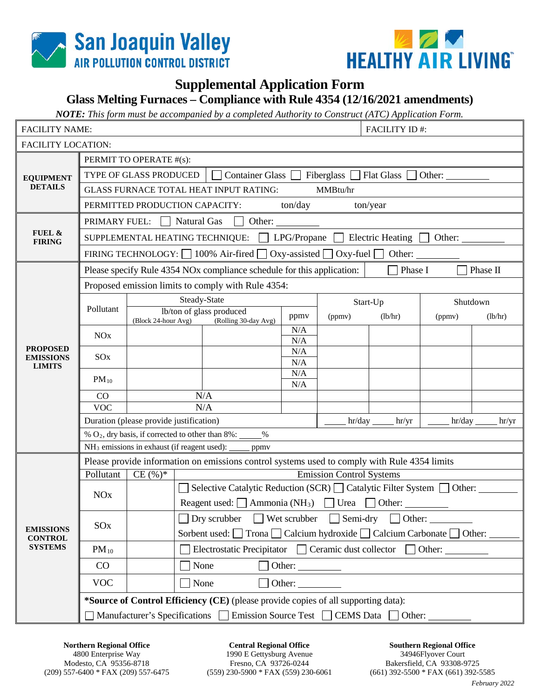



## **Supplemental Application Form**

## **Glass Melting Furnaces – Compliance with Rule 4354 (12/16/2021 amendments)**

*NOTE: This form must be accompanied by a completed Authority to Construct (ATC) Application Form.* 

| <b>FACILITY NAME:</b>                                |                                                                                            |                                                                           | <b>FACILITY ID#:</b>                                                             |                                                                                              |                                                                        |         |          |          |         |  |  |  |  |
|------------------------------------------------------|--------------------------------------------------------------------------------------------|---------------------------------------------------------------------------|----------------------------------------------------------------------------------|----------------------------------------------------------------------------------------------|------------------------------------------------------------------------|---------|----------|----------|---------|--|--|--|--|
| <b>FACILITY LOCATION:</b>                            |                                                                                            |                                                                           |                                                                                  |                                                                                              |                                                                        |         |          |          |         |  |  |  |  |
| <b>EQUIPMENT</b><br><b>DETAILS</b>                   | PERMIT TO OPERATE #(s):                                                                    |                                                                           |                                                                                  |                                                                                              |                                                                        |         |          |          |         |  |  |  |  |
|                                                      | Container Glass Fiberglass<br>TYPE OF GLASS PRODUCED<br>Flat Glass<br>Other:               |                                                                           |                                                                                  |                                                                                              |                                                                        |         |          |          |         |  |  |  |  |
|                                                      | <b>GLASS FURNACE TOTAL HEAT INPUT RATING:</b><br>MMBtu/hr                                  |                                                                           |                                                                                  |                                                                                              |                                                                        |         |          |          |         |  |  |  |  |
|                                                      | ton/day<br>PERMITTED PRODUCTION CAPACITY:<br>ton/year                                      |                                                                           |                                                                                  |                                                                                              |                                                                        |         |          |          |         |  |  |  |  |
| FUEL &<br><b>FIRING</b>                              | Natural Gas<br>Other:<br>PRIMARY FUEL:                                                     |                                                                           |                                                                                  |                                                                                              |                                                                        |         |          |          |         |  |  |  |  |
|                                                      | SUPPLEMENTAL HEATING TECHNIQUE: $\Box$ LPG/Propane $\Box$ Electric Heating $\Box$ Other:   |                                                                           |                                                                                  |                                                                                              |                                                                        |         |          |          |         |  |  |  |  |
|                                                      | FIRING TECHNOLOGY: $\Box$ 100% Air-fired $\Box$ Oxy-assisted $\Box$ Oxy-fuel $\Box$ Other: |                                                                           |                                                                                  |                                                                                              |                                                                        |         |          |          |         |  |  |  |  |
|                                                      |                                                                                            |                                                                           |                                                                                  | Please specify Rule 4354 NOx compliance schedule for this application:                       |                                                                        | Phase I |          | Phase II |         |  |  |  |  |
|                                                      | Proposed emission limits to comply with Rule 4354:                                         |                                                                           |                                                                                  |                                                                                              |                                                                        |         |          |          |         |  |  |  |  |
| <b>PROPOSED</b><br><b>EMISSIONS</b><br><b>LIMITS</b> | Pollutant                                                                                  |                                                                           | Steady-State                                                                     |                                                                                              |                                                                        |         | Start-Up | Shutdown |         |  |  |  |  |
|                                                      |                                                                                            | lb/ton of glass produced<br>(Block 24-hour Avg) (Rolling 30-day Avg)      |                                                                                  |                                                                                              | ppmv                                                                   | (ppmv)  | (lb/hr)  | (ppmv)   | (lb/hr) |  |  |  |  |
|                                                      | <b>NO</b> x                                                                                |                                                                           |                                                                                  |                                                                                              | N/A                                                                    |         |          |          |         |  |  |  |  |
|                                                      |                                                                                            |                                                                           |                                                                                  |                                                                                              | N/A<br>N/A                                                             |         |          |          |         |  |  |  |  |
|                                                      | SO <sub>x</sub>                                                                            |                                                                           |                                                                                  |                                                                                              | N/A                                                                    |         |          |          |         |  |  |  |  |
|                                                      | $PM_{10}$                                                                                  |                                                                           |                                                                                  |                                                                                              | N/A                                                                    |         |          |          |         |  |  |  |  |
|                                                      | CO                                                                                         |                                                                           |                                                                                  | N/A                                                                                          | N/A                                                                    |         |          |          |         |  |  |  |  |
|                                                      | <b>VOC</b>                                                                                 |                                                                           |                                                                                  | N/A                                                                                          |                                                                        |         |          |          |         |  |  |  |  |
|                                                      |                                                                                            | Duration (please provide justification)                                   |                                                                                  |                                                                                              | hr/yr<br>hr/day<br>hr/yr                                               |         |          |          |         |  |  |  |  |
|                                                      |                                                                                            |                                                                           |                                                                                  | % $O_2$ , dry basis, if corrected to other than 8%: _____%                                   |                                                                        |         |          |          |         |  |  |  |  |
|                                                      |                                                                                            |                                                                           |                                                                                  | NH <sub>3</sub> emissions in exhaust (if reagent used): ______ ppmv                          |                                                                        |         |          |          |         |  |  |  |  |
| <b>EMISSIONS</b><br><b>CONTROL</b><br><b>SYSTEMS</b> |                                                                                            |                                                                           |                                                                                  | Please provide information on emissions control systems used to comply with Rule 4354 limits |                                                                        |         |          |          |         |  |  |  |  |
|                                                      | Pollutant<br><b>Emission Control Systems</b><br>CE(%)                                      |                                                                           |                                                                                  |                                                                                              |                                                                        |         |          |          |         |  |  |  |  |
|                                                      | <b>NO</b> x                                                                                |                                                                           | Selective Catalytic Reduction (SCR) $\Box$ Catalytic Filter System $\Box$ Other: |                                                                                              |                                                                        |         |          |          |         |  |  |  |  |
|                                                      |                                                                                            | Reagent used: $\Box$ Ammonia (NH <sub>3</sub> ) $\Box$ Urea $\Box$ Other: |                                                                                  |                                                                                              |                                                                        |         |          |          |         |  |  |  |  |
|                                                      | SO <sub>x</sub>                                                                            |                                                                           | $\Box$ Dry scrubber $\Box$ Wet scrubber $\Box$ Semi-dry $\Box$ Other:            |                                                                                              |                                                                        |         |          |          |         |  |  |  |  |
|                                                      |                                                                                            | Sorbent used: □ Trona □ Calcium hydroxide □ Calcium Carbonate □ Other: _  |                                                                                  |                                                                                              |                                                                        |         |          |          |         |  |  |  |  |
|                                                      | $PM_{10}$                                                                                  |                                                                           |                                                                                  |                                                                                              | Electrostatic Precipitator $\Box$ Ceramic dust collector $\Box$ Other: |         |          |          |         |  |  |  |  |
|                                                      | CO                                                                                         |                                                                           | $\Box$ None                                                                      |                                                                                              |                                                                        |         |          |          |         |  |  |  |  |
|                                                      | <b>VOC</b>                                                                                 |                                                                           |                                                                                  | None                                                                                         | Other:                                                                 |         |          |          |         |  |  |  |  |
|                                                      | *Source of Control Efficiency (CE) (please provide copies of all supporting data):         |                                                                           |                                                                                  |                                                                                              |                                                                        |         |          |          |         |  |  |  |  |
|                                                      | ] Manufacturer's Specifications □ Emission Source Test □ CEMS Data □ Other:                |                                                                           |                                                                                  |                                                                                              |                                                                        |         |          |          |         |  |  |  |  |

**Central Regional Office** 1990 E Gettysburg Avenue Fresno, CA 93726-0244 (559) 230-5900 \* FAX (559) 230-6061

**Southern Regional Office** 34946Flyover Court Bakersfield, CA 93308-9725 (661) 392-5500 \* FAX (661) 392-5585